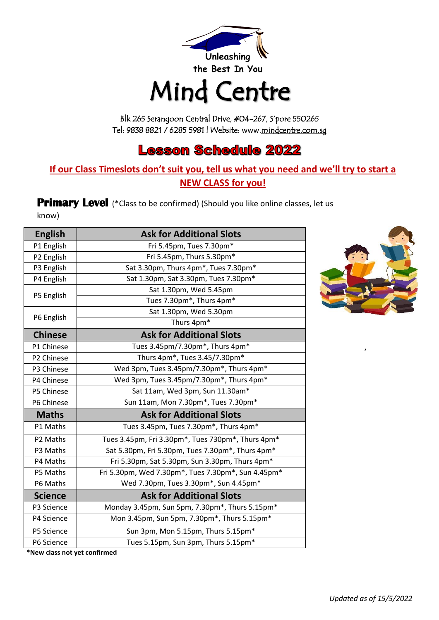

# Mind Centre

Blk 265 Serangoon Central Drive, #04-267, S'pore 550265 Tel: 9838 8821 / 6285 5981 | Website: www.[mindcentre.com.sg](http://www.mindcentre.com.sg/) 

## **Lesson Schedule 2022**

#### **If our Class Timeslots don't suit you, tell us what you need and we'll try to start a NEW CLASS for you!**

**Primary Level** (\*Class to be confirmed) (Should you like online classes, let us know)

| <b>English</b> | <b>Ask for Additional Slots</b>                    |
|----------------|----------------------------------------------------|
| P1 English     | Fri 5.45pm, Tues 7.30pm*                           |
| P2 English     | Fri 5.45pm, Thurs 5.30pm*                          |
| P3 English     | Sat 3.30pm, Thurs 4pm*, Tues 7.30pm*               |
| P4 English     | Sat 1.30pm, Sat 3.30pm, Tues 7.30pm*               |
|                | Sat 1.30pm, Wed 5.45pm                             |
| P5 English     | Tues 7.30pm*, Thurs 4pm*                           |
|                | Sat 1.30pm, Wed 5.30pm                             |
| P6 English     | Thurs 4pm*                                         |
| <b>Chinese</b> | <b>Ask for Additional Slots</b>                    |
| P1 Chinese     | Tues 3.45pm/7.30pm*, Thurs 4pm*                    |
| P2 Chinese     | Thurs 4pm*, Tues 3.45/7.30pm*                      |
| P3 Chinese     | Wed 3pm, Tues 3.45pm/7.30pm*, Thurs 4pm*           |
| P4 Chinese     | Wed 3pm, Tues 3.45pm/7.30pm*, Thurs 4pm*           |
| P5 Chinese     | Sat 11am, Wed 3pm, Sun 11.30am*                    |
| P6 Chinese     | Sun 11am, Mon 7.30pm*, Tues 7.30pm*                |
| <b>Maths</b>   | <b>Ask for Additional Slots</b>                    |
| P1 Maths       | Tues 3.45pm, Tues 7.30pm*, Thurs 4pm*              |
| P2 Maths       | Tues 3.45pm, Fri 3.30pm*, Tues 730pm*, Thurs 4pm*  |
| P3 Maths       | Sat 5.30pm, Fri 5.30pm, Tues 7.30pm*, Thurs 4pm*   |
| P4 Maths       | Fri 5.30pm, Sat 5.30pm, Sun 3.30pm, Thurs 4pm*     |
| P5 Maths       | Fri 5.30pm, Wed 7.30pm*, Tues 7.30pm*, Sun 4.45pm* |
| P6 Maths       | Wed 7.30pm, Tues 3.30pm*, Sun 4.45pm*              |
| <b>Science</b> | <b>Ask for Additional Slots</b>                    |
| P3 Science     | Monday 3.45pm, Sun 5pm, 7.30pm*, Thurs 5.15pm*     |
| P4 Science     | Mon 3.45pm, Sun 5pm, 7.30pm*, Thurs 5.15pm*        |
| P5 Science     | Sun 3pm, Mon 5.15pm, Thurs 5.15pm*                 |
| P6 Science     | Tues 5.15pm, Sun 3pm, Thurs 5.15pm*                |



**\*New class not yet confirmed**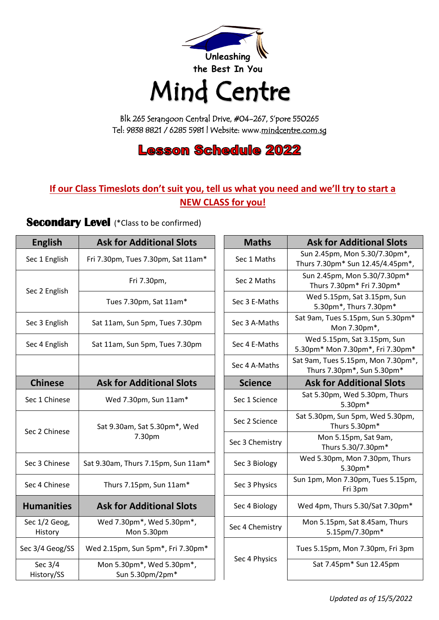

## Mind Centre

Blk 265 Serangoon Central Drive, #04-267, S'pore 550265 Tel: 9838 8821 / 6285 5981 | Website: www.[mindcentre.com.sg](http://www.mindcentre.com.sg/) 

### **Lesson Schedule 2022**

#### **If our Class Timeslots don't suit you, tell us what you need and we'll try to start a NEW CLASS for you!**

#### **Secondary Level** (\*Class to be confirmed)

| <b>English</b>           | <b>Ask for Additional Slots</b>              | <b>Maths</b>    | <b>Ask for Additional Slots</b>                                  |
|--------------------------|----------------------------------------------|-----------------|------------------------------------------------------------------|
| Sec 1 English            | Fri 7.30pm, Tues 7.30pm, Sat 11am*           | Sec 1 Maths     | Sun 2.45pm, Mon 5.30/7.30pm*,<br>Thurs 7.30pm* Sun 12.45/4.45pm* |
| Sec 2 English            | Fri 7.30pm,                                  | Sec 2 Maths     | Sun 2.45pm, Mon 5.30/7.30pm*<br>Thurs 7.30pm* Fri 7.30pm*        |
|                          | Tues 7.30pm, Sat 11am*                       | Sec 3 E-Maths   | Wed 5.15pm, Sat 3.15pm, Sun<br>5.30pm*, Thurs 7.30pm*            |
| Sec 3 English            | Sat 11am, Sun 5pm, Tues 7.30pm               | Sec 3 A-Maths   | Sat 9am, Tues 5.15pm, Sun 5.30pm<br>Mon 7.30pm*,                 |
| Sec 4 English            | Sat 11am, Sun 5pm, Tues 7.30pm               | Sec 4 E-Maths   | Wed 5.15pm, Sat 3.15pm, Sun<br>5.30pm* Mon 7.30pm*, Fri 7.30pm   |
|                          |                                              | Sec 4 A-Maths   | Sat 9am, Tues 5.15pm, Mon 7.30pm<br>Thurs 7.30pm*, Sun 5.30pm*   |
| <b>Chinese</b>           | <b>Ask for Additional Slots</b>              | <b>Science</b>  | <b>Ask for Additional Slots</b>                                  |
| Sec 1 Chinese            | Wed 7.30pm, Sun 11am*                        | Sec 1 Science   | Sat 5.30pm, Wed 5.30pm, Thurs<br>5.30pm*                         |
| Sec 2 Chinese            | Sat 9.30am, Sat 5.30pm*, Wed                 | Sec 2 Science   | Sat 5.30pm, Sun 5pm, Wed 5.30pm<br>Thurs 5.30pm*                 |
|                          | 7.30pm                                       | Sec 3 Chemistry | Mon 5.15pm, Sat 9am,<br>Thurs 5.30/7.30pm*                       |
| Sec 3 Chinese            | Sat 9.30am, Thurs 7.15pm, Sun 11am*          | Sec 3 Biology   | Wed 5.30pm, Mon 7.30pm, Thurs<br>5.30pm*                         |
| Sec 4 Chinese            | Thurs 7.15pm, Sun 11am*                      | Sec 3 Physics   | Sun 1pm, Mon 7.30pm, Tues 5.15pn<br>Fri 3pm                      |
| <b>Humanities</b>        | <b>Ask for Additional Slots</b>              | Sec 4 Biology   | Wed 4pm, Thurs 5.30/Sat 7.30pm*                                  |
| Sec 1/2 Geog,<br>History | Wed 7.30pm*, Wed 5.30pm*,<br>Mon 5.30pm      | Sec 4 Chemistry | Mon 5.15pm, Sat 8.45am, Thurs<br>5.15pm/7.30pm*                  |
| Sec 3/4 Geog/SS          | Wed 2.15pm, Sun 5pm*, Fri 7.30pm*            |                 | Tues 5.15pm, Mon 7.30pm, Fri 3pm                                 |
| Sec 3/4<br>History/SS    | Mon 5.30pm*, Wed 5.30pm*,<br>Sun 5.30pm/2pm* | Sec 4 Physics   | Sat 7.45pm* Sun 12.45pm                                          |

| <b>English</b>           | <b>Ask for Additional Slots</b>                                   | <b>Maths</b>    | <b>Ask for Additional Slots</b>                                   |
|--------------------------|-------------------------------------------------------------------|-----------------|-------------------------------------------------------------------|
| Sec 1 English            | Fri 7.30pm, Tues 7.30pm, Sat 11am*                                | Sec 1 Maths     | Sun 2.45pm, Mon 5.30/7.30pm*,<br>Thurs 7.30pm* Sun 12.45/4.45pm*, |
| Sec 2 English            | Fri 7.30pm,                                                       | Sec 2 Maths     | Sun 2.45pm, Mon 5.30/7.30pm*<br>Thurs 7.30pm* Fri 7.30pm*         |
|                          | Tues 7.30pm, Sat 11am*                                            | Sec 3 E-Maths   | Wed 5.15pm, Sat 3.15pm, Sun<br>5.30pm*, Thurs 7.30pm*             |
| Sec 3 English            | Sat 11am, Sun 5pm, Tues 7.30pm                                    | Sec 3 A-Maths   | Sat 9am, Tues 5.15pm, Sun 5.30pm*<br>Mon 7.30pm*,                 |
| Sec 4 English            | Sat 11am, Sun 5pm, Tues 7.30pm                                    | Sec 4 E-Maths   | Wed 5.15pm, Sat 3.15pm, Sun<br>5.30pm* Mon 7.30pm*, Fri 7.30pm*   |
|                          |                                                                   | Sec 4 A-Maths   | Sat 9am, Tues 5.15pm, Mon 7.30pm*,<br>Thurs 7.30pm*, Sun 5.30pm*  |
| <b>Chinese</b>           | <b>Ask for Additional Slots</b>                                   | <b>Science</b>  | <b>Ask for Additional Slots</b>                                   |
| Sec 1 Chinese            | Wed 7.30pm, Sun 11am*                                             | Sec 1 Science   | Sat 5.30pm, Wed 5.30pm, Thurs<br>5.30pm*                          |
| Sec 2 Chinese            | Sat 9.30am, Sat 5.30pm*, Wed<br>7.30pm                            | Sec 2 Science   | Sat 5.30pm, Sun 5pm, Wed 5.30pm,<br>Thurs 5.30pm*                 |
|                          |                                                                   | Sec 3 Chemistry | Mon 5.15pm, Sat 9am,<br>Thurs 5.30/7.30pm*                        |
| Sec 3 Chinese            | Sat 9.30am, Thurs 7.15pm, Sun 11am*                               | Sec 3 Biology   | Wed 5.30pm, Mon 7.30pm, Thurs<br>5.30pm*                          |
| Sec 4 Chinese            | Thurs 7.15pm, Sun 11am*                                           | Sec 3 Physics   | Sun 1pm, Mon 7.30pm, Tues 5.15pm,<br>Fri 3pm                      |
| <b>Humanities</b>        | <b>Ask for Additional Slots</b>                                   | Sec 4 Biology   | Wed 4pm, Thurs 5.30/Sat 7.30pm*                                   |
| Sec 1/2 Geog,<br>History | Wed 7.30pm <sup>*</sup> , Wed 5.30pm <sup>*</sup> ,<br>Mon 5.30pm | Sec 4 Chemistry | Mon 5.15pm, Sat 8.45am, Thurs<br>5.15pm/7.30pm*                   |
| ec 3/4 Geog/SS           | Wed 2.15pm, Sun 5pm*, Fri 7.30pm*                                 |                 | Tues 5.15pm, Mon 7.30pm, Fri 3pm                                  |
| Sec 3/4<br>History/SS    | Mon 5.30pm*, Wed 5.30pm*,<br>Sun 5.30pm/2pm*                      | Sec 4 Physics   | Sat 7.45pm* Sun 12.45pm                                           |